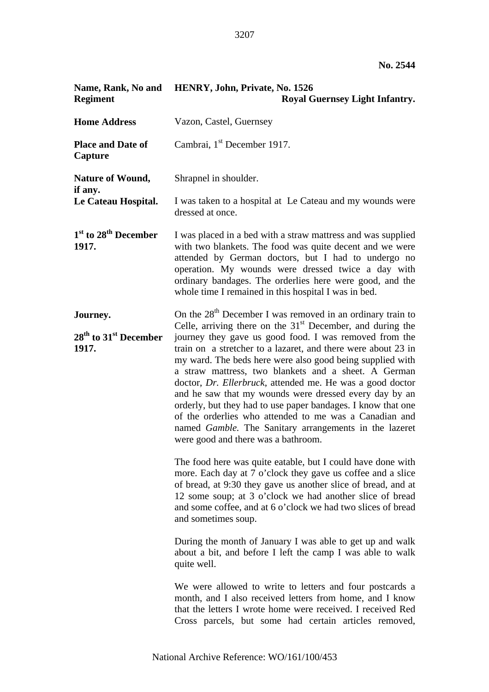| Name, Rank, No and<br><b>Regiment</b>                    | HENRY, John, Private, No. 1526<br><b>Royal Guernsey Light Infantry.</b>                                                                                                                                                                                                                                                                                                                                                                                                                                                                                                                                                                                                                                                                                                                                                                                                                                                                                                                                                                                                                    |
|----------------------------------------------------------|--------------------------------------------------------------------------------------------------------------------------------------------------------------------------------------------------------------------------------------------------------------------------------------------------------------------------------------------------------------------------------------------------------------------------------------------------------------------------------------------------------------------------------------------------------------------------------------------------------------------------------------------------------------------------------------------------------------------------------------------------------------------------------------------------------------------------------------------------------------------------------------------------------------------------------------------------------------------------------------------------------------------------------------------------------------------------------------------|
| <b>Home Address</b>                                      | Vazon, Castel, Guernsey                                                                                                                                                                                                                                                                                                                                                                                                                                                                                                                                                                                                                                                                                                                                                                                                                                                                                                                                                                                                                                                                    |
| <b>Place and Date of</b><br>Capture                      | Cambrai, 1 <sup>st</sup> December 1917.                                                                                                                                                                                                                                                                                                                                                                                                                                                                                                                                                                                                                                                                                                                                                                                                                                                                                                                                                                                                                                                    |
| <b>Nature of Wound,</b><br>if any.                       | Shrapnel in shoulder.                                                                                                                                                                                                                                                                                                                                                                                                                                                                                                                                                                                                                                                                                                                                                                                                                                                                                                                                                                                                                                                                      |
| Le Cateau Hospital.                                      | I was taken to a hospital at Le Cateau and my wounds were<br>dressed at once.                                                                                                                                                                                                                                                                                                                                                                                                                                                                                                                                                                                                                                                                                                                                                                                                                                                                                                                                                                                                              |
| $1st$ to $28th$ December<br>1917.                        | I was placed in a bed with a straw mattress and was supplied<br>with two blankets. The food was quite decent and we were<br>attended by German doctors, but I had to undergo no<br>operation. My wounds were dressed twice a day with<br>ordinary bandages. The orderlies here were good, and the<br>whole time I remained in this hospital I was in bed.                                                                                                                                                                                                                                                                                                                                                                                                                                                                                                                                                                                                                                                                                                                                  |
| Journey.<br>$28th$ to 31 <sup>st</sup> December<br>1917. | On the 28 <sup>th</sup> December I was removed in an ordinary train to<br>Celle, arriving there on the $31st$ December, and during the<br>journey they gave us good food. I was removed from the<br>train on a stretcher to a lazaret, and there were about 23 in<br>my ward. The beds here were also good being supplied with<br>a straw mattress, two blankets and a sheet. A German<br>doctor, Dr. Ellerbruck, attended me. He was a good doctor<br>and he saw that my wounds were dressed every day by an<br>orderly, but they had to use paper bandages. I know that one<br>of the orderlies who attended to me was a Canadian and<br>named Gamble. The Sanitary arrangements in the lazeret<br>were good and there was a bathroom.<br>The food here was quite eatable, but I could have done with<br>more. Each day at 7 o'clock they gave us coffee and a slice<br>of bread, at 9:30 they gave us another slice of bread, and at<br>12 some soup; at 3 o'clock we had another slice of bread<br>and some coffee, and at 6 o'clock we had two slices of bread<br>and sometimes soup. |
|                                                          | During the month of January I was able to get up and walk<br>about a bit, and before I left the camp I was able to walk<br>quite well.                                                                                                                                                                                                                                                                                                                                                                                                                                                                                                                                                                                                                                                                                                                                                                                                                                                                                                                                                     |
|                                                          | We were allowed to write to letters and four postcards a<br>month, and I also received letters from home, and I know<br>that the letters I wrote home were received. I received Red<br>Cross parcels, but some had certain articles removed,                                                                                                                                                                                                                                                                                                                                                                                                                                                                                                                                                                                                                                                                                                                                                                                                                                               |